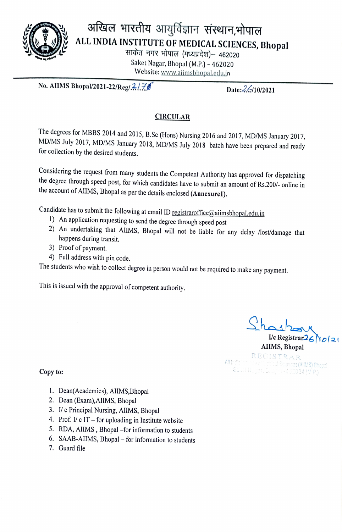

Website: www.aiimsbhopal.edu.in

No. AIIMS Bhopal/2021-22/Reg/ $\frac{2}{\mathcal{I}}$   $\frac{2}{\mathcal{I}}$  Date: 26/10/2021

## **CIRCULAR**

The degrees for MBBS 2014 and 2015, B.Sc (Hons) Nursing 2016 and 2017, MD/MS January 2017, MD/MS July 2017, MD/MS January 2018, MD/MS July 2018 batch have been prepared and ready for collection by the desired students.

Considering the request from many students the Competent Authority has approved for dispatching the degree through speed post, for which candidates have to submit an amount of Rs.200/- online in the account of AlIMS, Bhopal as per the details enclosed (Annexurel).

- 
- Candidate has to submit the following at email ID registraroffice@aiimsbhopal.edu.in<br>1) An application requesting to send the degree through speed post<br>2) An undertaking that AIIMS, Bhopal will not be liable for any delay happens during transit.
	- 3) Proof of payment.
	- 4) Full address with pin code.

The students who wish to collect degree in person would not be required to make any payment.

This is issued with the approval of competent authority.

I/c Registrar26 AIIMS, Bhopal REGISTRAR<br>Macilletical Sciences (AlIMS) Bhoosi of Mayer, Disopole 4 30024 (MP.)

Copy to:

- 1. Dean(Academics), AlIMS,Bhopal
- 2. Dean (Exam),AlIMS, Bhopal
- 3. Vc Principal Nursing, AlIMS, Bhopal
- 4. Prof.  $I/c$  IT for uploading in Institute website
- 5. RDA, AIIMS, Bhopal -for information to students
- 6. SAAB-AIIMS, Bhopal for information to students
- 7. Guard file